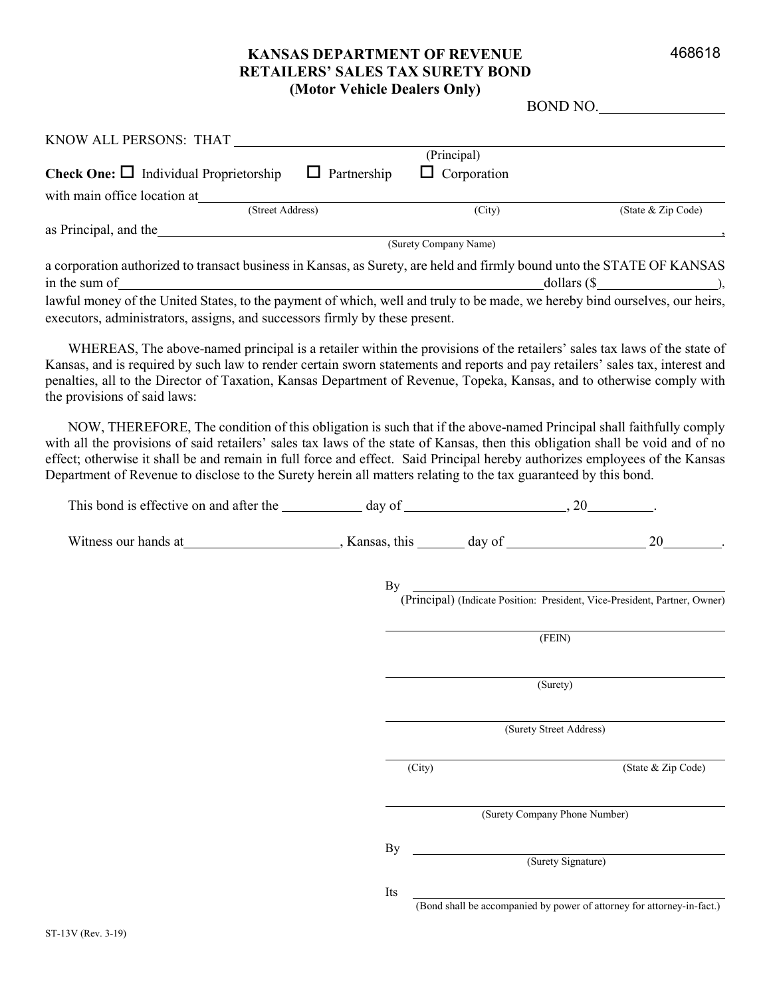#### 468618

#### **KANSAS DEPARTMENT OF REVENUE RETAILERS' SALES TAX SURETY BOND (Motor Vehicle Dealers Only)**

| BOND NO. |  |
|----------|--|
|          |  |

| KNOW ALL PERSONS: THAT                                                                                                 |                    |                       |                    |  |
|------------------------------------------------------------------------------------------------------------------------|--------------------|-----------------------|--------------------|--|
|                                                                                                                        |                    | (Principal)           |                    |  |
| <b>Check One:</b> $\Box$ Individual Proprietorship                                                                     | $\Box$ Partnership | $\Box$ Corporation    |                    |  |
| with main office location at                                                                                           |                    |                       |                    |  |
| (Street Address)                                                                                                       |                    | (City)                | (State & Zip Code) |  |
| as Principal, and the                                                                                                  |                    |                       |                    |  |
|                                                                                                                        |                    | (Surety Company Name) |                    |  |
| a corporation authorized to transact business in Kansas, as Surety, are held and firmly bound unto the STATE OF KANSAS |                    |                       |                    |  |
| in the sum of                                                                                                          |                    | dollars $(S$          |                    |  |

lawful money of the United States, to the payment of which, well and truly to be made, we hereby bind ourselves, our heirs, executors, administrators, assigns, and successors firmly by these present.

WHEREAS, The above-named principal is a retailer within the provisions of the retailers' sales tax laws of the state of Kansas, and is required by such law to render certain sworn statements and reports and pay retailers' sales tax, interest and penalties, all to the Director of Taxation, Kansas Department of Revenue, Topeka, Kansas, and to otherwise comply with the provisions of said laws:

NOW, THEREFORE, The condition of this obligation is such that if the above-named Principal shall faithfully comply with all the provisions of said retailers' sales tax laws of the state of Kansas, then this obligation shall be void and of no effect; otherwise it shall be and remain in full force and effect. Said Principal hereby authorizes employees of the Kansas Department of Revenue to disclose to the Surety herein all matters relating to the tax guaranteed by this bond.

| This bond is effective on and after the day of day of 1.1 million 20 million 20 million 3.20 million 3.20 million 3.20 million 3.20 million 3.20 million 3.20 million 3.20 million 3.20 million 3.20 million 3.20 million 3.20 |          |                                                                                                                                            |                                                                                  |  |
|--------------------------------------------------------------------------------------------------------------------------------------------------------------------------------------------------------------------------------|----------|--------------------------------------------------------------------------------------------------------------------------------------------|----------------------------------------------------------------------------------|--|
|                                                                                                                                                                                                                                |          |                                                                                                                                            |                                                                                  |  |
|                                                                                                                                                                                                                                |          |                                                                                                                                            | By<br>(Principal) (Indicate Position: President, Vice-President, Partner, Owner) |  |
|                                                                                                                                                                                                                                |          |                                                                                                                                            |                                                                                  |  |
|                                                                                                                                                                                                                                |          | $\overline{\text{ (FENN)}}$                                                                                                                |                                                                                  |  |
|                                                                                                                                                                                                                                | (Surety) |                                                                                                                                            |                                                                                  |  |
|                                                                                                                                                                                                                                |          |                                                                                                                                            | (Surety Street Address)                                                          |  |
|                                                                                                                                                                                                                                | (City)   |                                                                                                                                            | (State & Zip Code)                                                               |  |
|                                                                                                                                                                                                                                |          | (Surety Company Phone Number)                                                                                                              |                                                                                  |  |
|                                                                                                                                                                                                                                | By       | <u> 1980 - Johann Barn, mars ann an t-Amhain Aonaich an t-Aonaich an t-Aonaich ann an t-Aonaich ann an t-Aonaich</u><br>(Surety Signature) |                                                                                  |  |
|                                                                                                                                                                                                                                | Its      |                                                                                                                                            |                                                                                  |  |
|                                                                                                                                                                                                                                |          |                                                                                                                                            | (Bond shall be accompanied by power of attorney for attorney-in-fact.)           |  |
| $-13V$ (Rev. 3.19)                                                                                                                                                                                                             |          |                                                                                                                                            |                                                                                  |  |